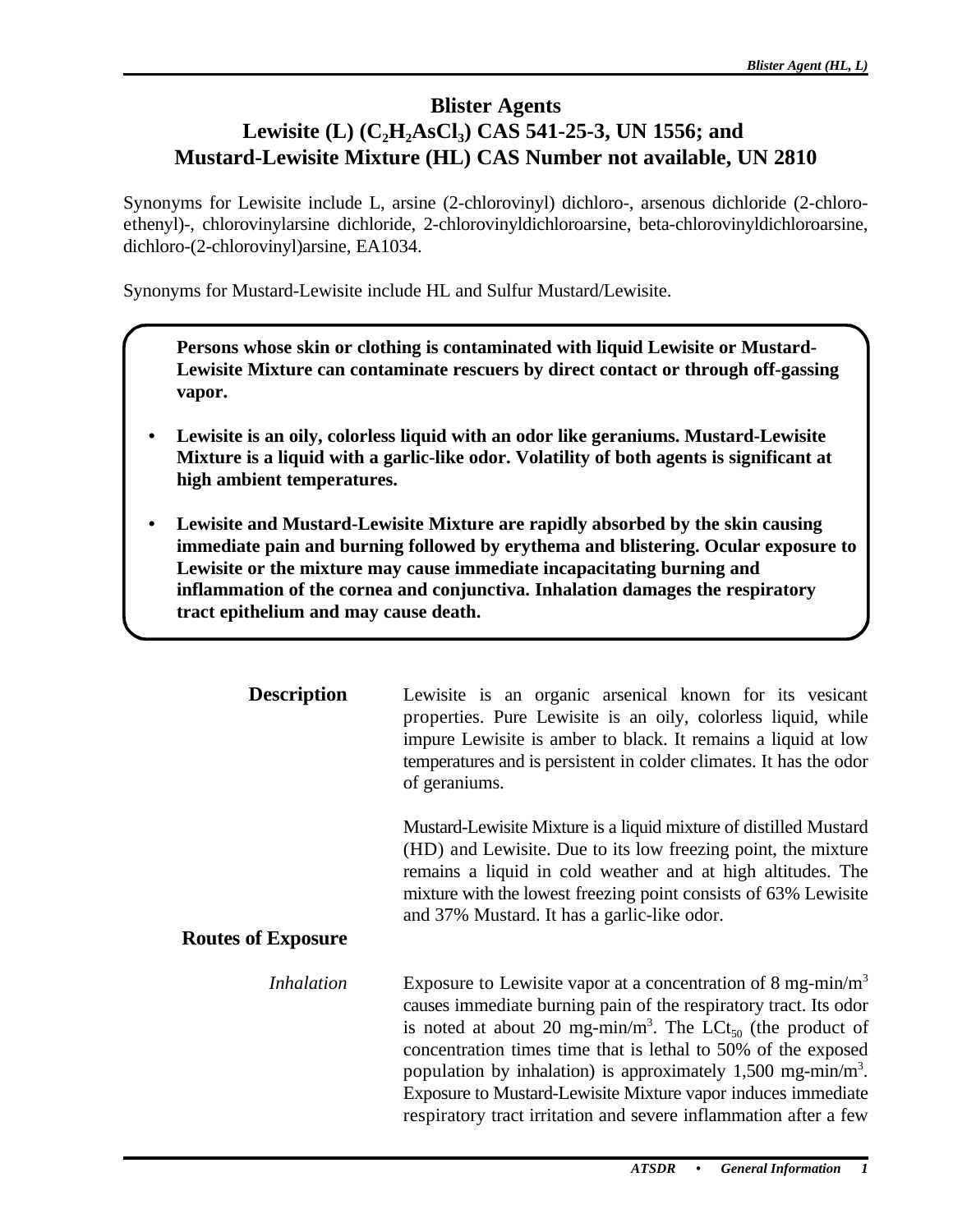# **Blister Agents** Lewisite (L) (C<sub>2</sub>H<sub>2</sub>AsCl<sub>3</sub>) CAS 541-25-3, UN 1556; and **Mustard-Lewisite Mixture (HL) CAS Number not available, UN 2810**

Synonyms for Lewisite include L, arsine (2-chlorovinyl) dichloro-, arsenous dichloride (2-chloroethenyl)-, chlorovinylarsine dichloride, 2-chlorovinyldichloroarsine, beta-chlorovinyldichloroarsine, dichloro-(2-chlorovinyl)arsine, EA1034.

Synonyms for Mustard-Lewisite include HL and Sulfur Mustard/Lewisite.

Persons whose skin or clothing is contaminated with liquid Lewisite or Mustard-**Lewisite Mixture can contaminate rescuers by direct contact or through off-gassing vapor.** 

- **Lewisite is an oily, colorless liquid with an odor like geraniums. Mustard-Lewisite Mixture is a liquid with a garlic-like odor. Volatility of both agents is significant at high ambient temperatures.**
- **Lewisite and Mustard-Lewisite Mixture are rapidly absorbed by the skin causing immediate pain and burning followed by erythema and blistering. Ocular exposure to Lewisite or the mixture may cause immediate incapacitating burning and inflammation of the cornea and conjunctiva. Inhalation damages the respiratory tract epithelium and may cause death.**

**Description** Lewisite is an organic arsenical known for its vesicant properties. Pure Lewisite is an oily, colorless liquid, while impure Lewisite is amber to black. It remains a liquid at low temperatures and is persistent in colder climates. It has the odor of geraniums.

> Mustard-Lewisite Mixture is a liquid mixture of distilled Mustard (HD) and Lewisite. Due to its low freezing point, the mixture remains a liquid in cold weather and at high altitudes. The mixture with the lowest freezing point consists of 63% Lewisite and 37% Mustard. It has a garlic-like odor.

## **Routes of Exposure**

*Inhalation* Exposure to Lewisite vapor at a concentration of 8 mg-min/m<sup>3</sup> causes immediate burning pain of the respiratory tract. Its odor is noted at about 20 mg-min/m<sup>3</sup>. The LCt<sub>50</sub> (the product of concentration times time that is lethal to 50% of the exposed population by inhalation) is approximately  $1,500$  mg-min/m<sup>3</sup>. Exposure to Mustard-Lewisite Mixture vapor induces immediate respiratory tract irritation and severe inflammation after a few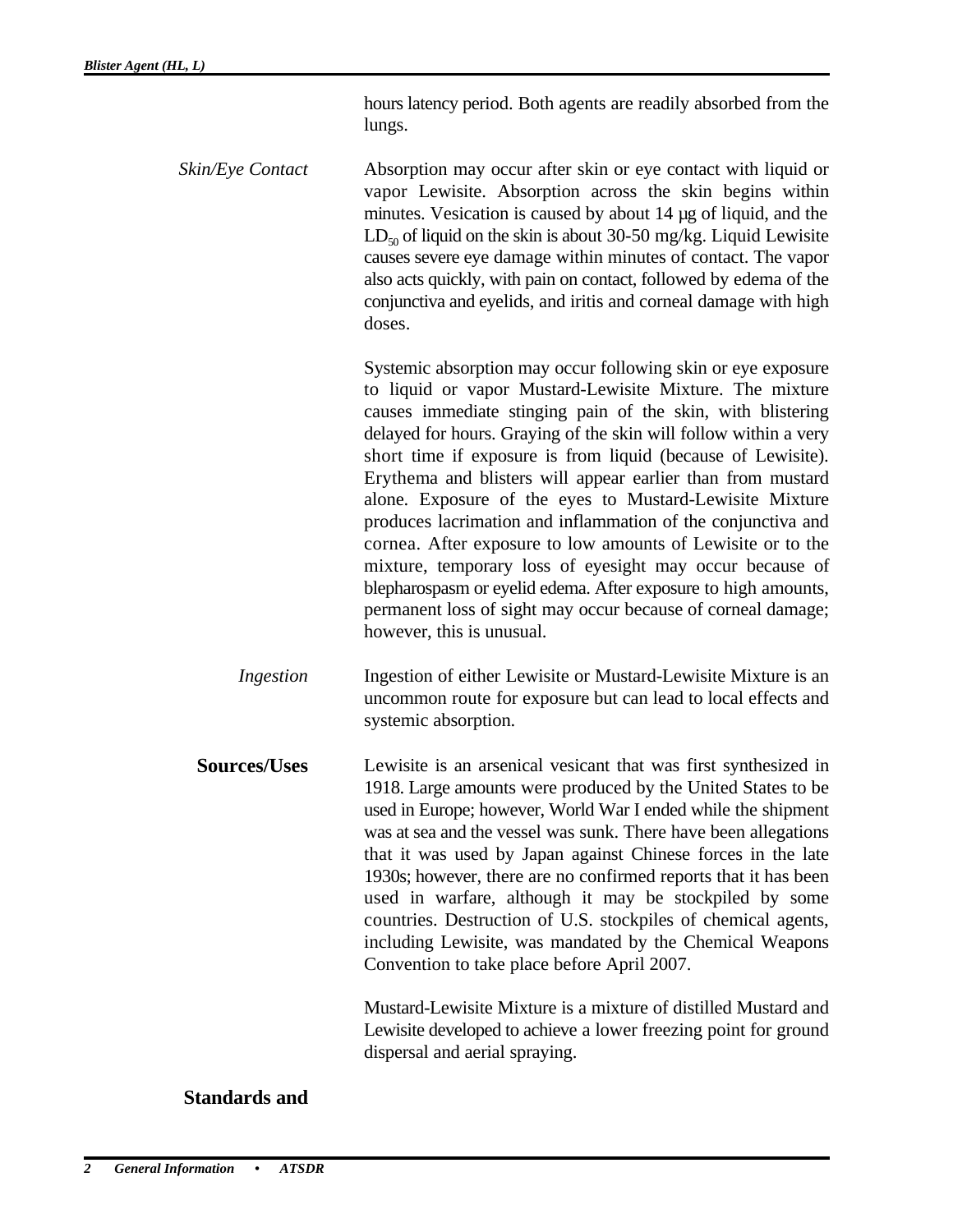hours latency period. Both agents are readily absorbed from the lungs.

*Skin/Eye Contact*  Absorption may occur after skin or eye contact with liquid or vapor Lewisite. Absorption across the skin begins within minutes. Vesication is caused by about 14  $\mu$ g of liquid, and the  $LD_{50}$  of liquid on the skin is about 30-50 mg/kg. Liquid Lewisite causes severe eye damage within minutes of contact. The vapor also acts quickly, with pain on contact, followed by edema of the conjunctiva and eyelids, and iritis and corneal damage with high doses.

> Systemic absorption may occur following skin or eye exposure to liquid or vapor Mustard-Lewisite Mixture. The mixture causes immediate stinging pain of the skin, with blistering delayed for hours. Graying of the skin will follow within a very short time if exposure is from liquid (because of Lewisite). Erythema and blisters will appear earlier than from mustard alone. Exposure of the eyes to Mustard-Lewisite Mixture produces lacrimation and inflammation of the conjunctiva and cornea. After exposure to low amounts of Lewisite or to the mixture, temporary loss of eyesight may occur because of blepharospasm or eyelid edema. After exposure to high amounts, permanent loss of sight may occur because of corneal damage; however, this is unusual.

- *Ingestion*  Ingestion of either Lewisite or Mustard-Lewisite Mixture is an uncommon route for exposure but can lead to local effects and systemic absorption.
- **Sources/Uses**  Lewisite is an arsenical vesicant that was first synthesized in 1918. Large amounts were produced by the United States to be used in Europe; however, World War I ended while the shipment was at sea and the vessel was sunk. There have been allegations that it was used by Japan against Chinese forces in the late 1930s; however, there are no confirmed reports that it has been used in warfare, although it may be stockpiled by some countries. Destruction of U.S. stockpiles of chemical agents, including Lewisite, was mandated by the Chemical Weapons Convention to take place before April 2007.

Mustard-Lewisite Mixture is a mixture of distilled Mustard and Lewisite developed to achieve a lower freezing point for ground dispersal and aerial spraying.

## **Standards and**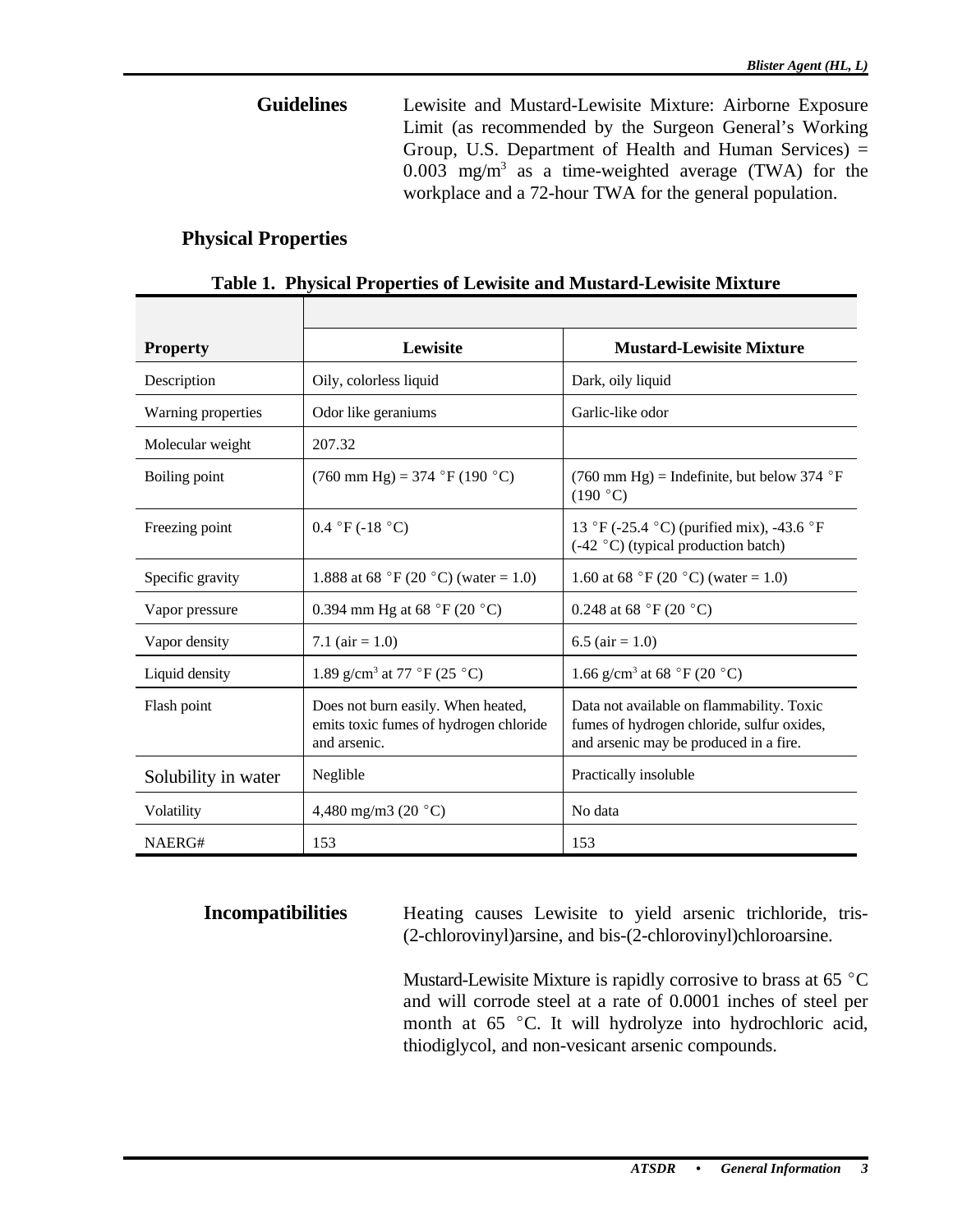**Guidelines** Lewisite and Mustard-Lewisite Mixture: Airborne Exposure Limit (as recommended by the Surgeon General's Working Group, U.S. Department of Health and Human Services) = 0.003 mg/m<sup>3</sup> as a time-weighted average (TWA) for the workplace and a 72-hour TWA for the general population.

## **Physical Properties**

| <b>Property</b>     | Lewisite                                                                                     | <b>Mustard-Lewisite Mixture</b>                                                                                                   |
|---------------------|----------------------------------------------------------------------------------------------|-----------------------------------------------------------------------------------------------------------------------------------|
| Description         | Oily, colorless liquid                                                                       | Dark, oily liquid                                                                                                                 |
| Warning properties  | Odor like geraniums                                                                          | Garlic-like odor                                                                                                                  |
| Molecular weight    | 207.32                                                                                       |                                                                                                                                   |
| Boiling point       | $(760 \text{ mm Hg}) = 374 \text{ °F} (190 \text{ °C})$                                      | $(760 \text{ mm Hg})$ = Indefinite, but below 374 °F<br>(190 °C)                                                                  |
| Freezing point      | $0.4 °F (-18 °C)$                                                                            | 13 °F (-25.4 °C) (purified mix), -43.6 °F<br>(-42 °C) (typical production batch)                                                  |
| Specific gravity    | 1.888 at 68 °F (20 °C) (water = 1.0)                                                         | 1.60 at 68 °F (20 °C) (water = 1.0)                                                                                               |
| Vapor pressure      | 0.394 mm Hg at 68 °F (20 °C)                                                                 | 0.248 at 68 °F (20 °C)                                                                                                            |
| Vapor density       | 7.1 ( $\arctan 1.0$ )                                                                        | $6.5$ (air = 1.0)                                                                                                                 |
| Liquid density      | 1.89 g/cm <sup>3</sup> at 77 °F (25 °C)                                                      | 1.66 g/cm <sup>3</sup> at 68 °F (20 °C)                                                                                           |
| Flash point         | Does not burn easily. When heated,<br>emits toxic fumes of hydrogen chloride<br>and arsenic. | Data not available on flammability. Toxic<br>fumes of hydrogen chloride, sulfur oxides,<br>and arsenic may be produced in a fire. |
| Solubility in water | Neglible                                                                                     | Practically insoluble                                                                                                             |
| Volatility          | 4,480 mg/m3 (20 $^{\circ}$ C)                                                                | No data                                                                                                                           |
| NAERG#              | 153                                                                                          | 153                                                                                                                               |

|  |  | Table 1. Physical Properties of Lewisite and Mustard-Lewisite Mixture |
|--|--|-----------------------------------------------------------------------|
|  |  |                                                                       |

**Incompatibilities** Heating causes Lewisite to yield arsenic trichloride, tris-(2-chlorovinyl)arsine, and bis-(2-chlorovinyl)chloroarsine.

> Mustard-Lewisite Mixture is rapidly corrosive to brass at 65 $\degree$ C and will corrode steel at a rate of 0.0001 inches of steel per month at 65 °C. It will hydrolyze into hydrochloric acid, thiodiglycol, and non-vesicant arsenic compounds.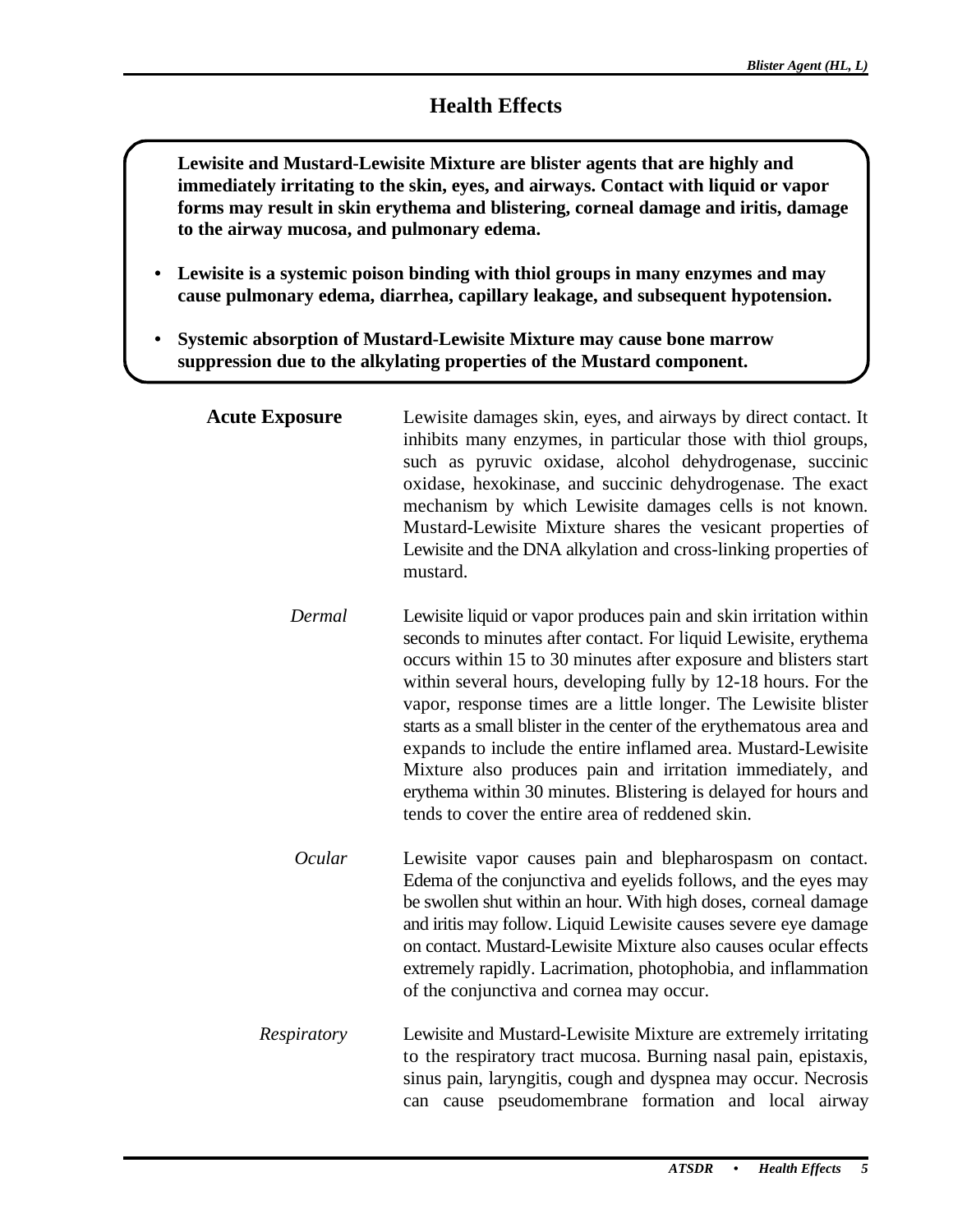## **Health Effects**

Lewisite and Mustard-Lewisite Mixture are blister agents that are highly and **immediately irritating to the skin, eyes, and airways. Contact with liquid or vapor forms may result in skin erythema and blistering, corneal damage and iritis, damage to the airway mucosa, and pulmonary edema.**

- **Lewisite is a systemic poison binding with thiol groups in many enzymes and may cause pulmonary edema, diarrhea, capillary leakage, and subsequent hypotension.**
- **Systemic absorption of Mustard-Lewisite Mixture may cause bone marrow suppression due to the alkylating properties of the Mustard component.**

| <b>Acute Exposure</b> | Lewisite damages skin, eyes, and airways by direct contact. It<br>inhibits many enzymes, in particular those with thiol groups,<br>such as pyruvic oxidase, alcohol dehydrogenase, succinic<br>oxidase, hexokinase, and succinic dehydrogenase. The exact<br>mechanism by which Lewisite damages cells is not known.<br>Mustard-Lewisite Mixture shares the vesicant properties of<br>Lewisite and the DNA alkylation and cross-linking properties of<br>mustard.                                                                                                                                                                                                           |
|-----------------------|-----------------------------------------------------------------------------------------------------------------------------------------------------------------------------------------------------------------------------------------------------------------------------------------------------------------------------------------------------------------------------------------------------------------------------------------------------------------------------------------------------------------------------------------------------------------------------------------------------------------------------------------------------------------------------|
| Dermal                | Lewisite liquid or vapor produces pain and skin irritation within<br>seconds to minutes after contact. For liquid Lewisite, erythema<br>occurs within 15 to 30 minutes after exposure and blisters start<br>within several hours, developing fully by 12-18 hours. For the<br>vapor, response times are a little longer. The Lewisite blister<br>starts as a small blister in the center of the erythematous area and<br>expands to include the entire inflamed area. Mustard-Lewisite<br>Mixture also produces pain and irritation immediately, and<br>erythema within 30 minutes. Blistering is delayed for hours and<br>tends to cover the entire area of reddened skin. |
| <b>Ocular</b>         | Lewisite vapor causes pain and blepharospasm on contact.<br>Edema of the conjunctiva and eyelids follows, and the eyes may<br>be swollen shut within an hour. With high doses, corneal damage<br>and iritis may follow. Liquid Lewisite causes severe eye damage<br>on contact. Mustard-Lewisite Mixture also causes ocular effects<br>extremely rapidly. Lacrimation, photophobia, and inflammation<br>of the conjunctiva and cornea may occur.                                                                                                                                                                                                                            |
| Respiratory           | Lewisite and Mustard-Lewisite Mixture are extremely irritating<br>to the respiratory tract mucosa. Burning nasal pain, epistaxis,<br>sinus pain, laryngitis, cough and dyspnea may occur. Necrosis<br>can cause pseudomembrane formation and local airway                                                                                                                                                                                                                                                                                                                                                                                                                   |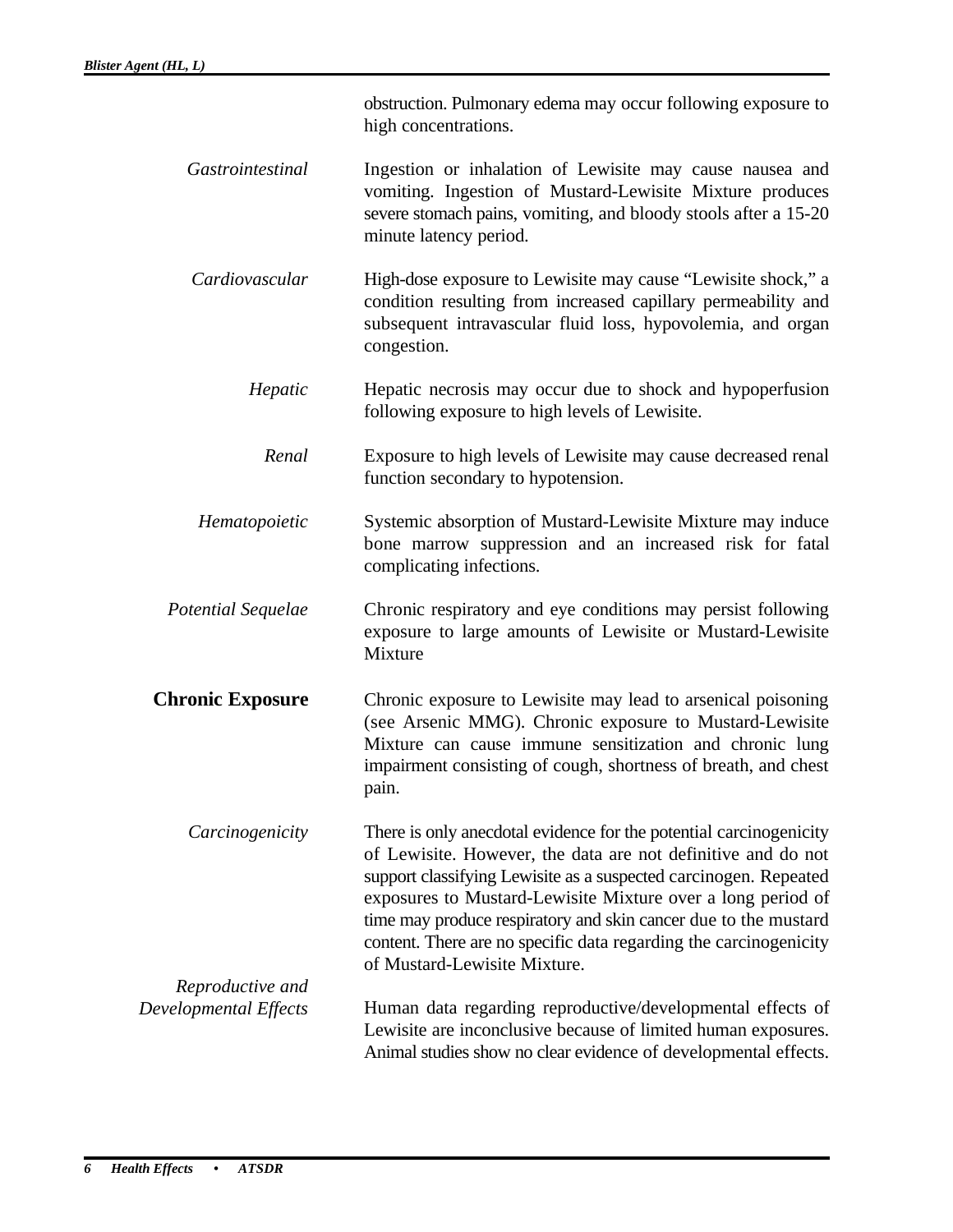|                         | obstruction. Pulmonary edema may occur following exposure to<br>high concentrations.                                                                                                                                                                                                                                                                                                                                                          |
|-------------------------|-----------------------------------------------------------------------------------------------------------------------------------------------------------------------------------------------------------------------------------------------------------------------------------------------------------------------------------------------------------------------------------------------------------------------------------------------|
| Gastrointestinal        | Ingestion or inhalation of Lewisite may cause nausea and<br>vomiting. Ingestion of Mustard-Lewisite Mixture produces<br>severe stomach pains, vomiting, and bloody stools after a 15-20<br>minute latency period.                                                                                                                                                                                                                             |
| Cardiovascular          | High-dose exposure to Lewisite may cause "Lewisite shock," a<br>condition resulting from increased capillary permeability and<br>subsequent intravascular fluid loss, hypovolemia, and organ<br>congestion.                                                                                                                                                                                                                                   |
| Hepatic                 | Hepatic necrosis may occur due to shock and hypoperfusion<br>following exposure to high levels of Lewisite.                                                                                                                                                                                                                                                                                                                                   |
| Renal                   | Exposure to high levels of Lewisite may cause decreased renal<br>function secondary to hypotension.                                                                                                                                                                                                                                                                                                                                           |
| Hematopoietic           | Systemic absorption of Mustard-Lewisite Mixture may induce<br>bone marrow suppression and an increased risk for fatal<br>complicating infections.                                                                                                                                                                                                                                                                                             |
| Potential Sequelae      | Chronic respiratory and eye conditions may persist following<br>exposure to large amounts of Lewisite or Mustard-Lewisite<br>Mixture                                                                                                                                                                                                                                                                                                          |
| <b>Chronic Exposure</b> | Chronic exposure to Lewisite may lead to arsenical poisoning<br>(see Arsenic MMG). Chronic exposure to Mustard-Lewisite<br>Mixture can cause immune sensitization and chronic lung<br>impairment consisting of cough, shortness of breath, and chest<br>pain.                                                                                                                                                                                 |
| Carcinogenicity         | There is only anecdotal evidence for the potential carcinogenicity<br>of Lewisite. However, the data are not definitive and do not<br>support classifying Lewisite as a suspected carcinogen. Repeated<br>exposures to Mustard-Lewisite Mixture over a long period of<br>time may produce respiratory and skin cancer due to the mustard<br>content. There are no specific data regarding the carcinogenicity<br>of Mustard-Lewisite Mixture. |
| Reproductive and        |                                                                                                                                                                                                                                                                                                                                                                                                                                               |
| Developmental Effects   | Human data regarding reproductive/developmental effects of<br>Lewisite are inconclusive because of limited human exposures.<br>Animal studies show no clear evidence of developmental effects.                                                                                                                                                                                                                                                |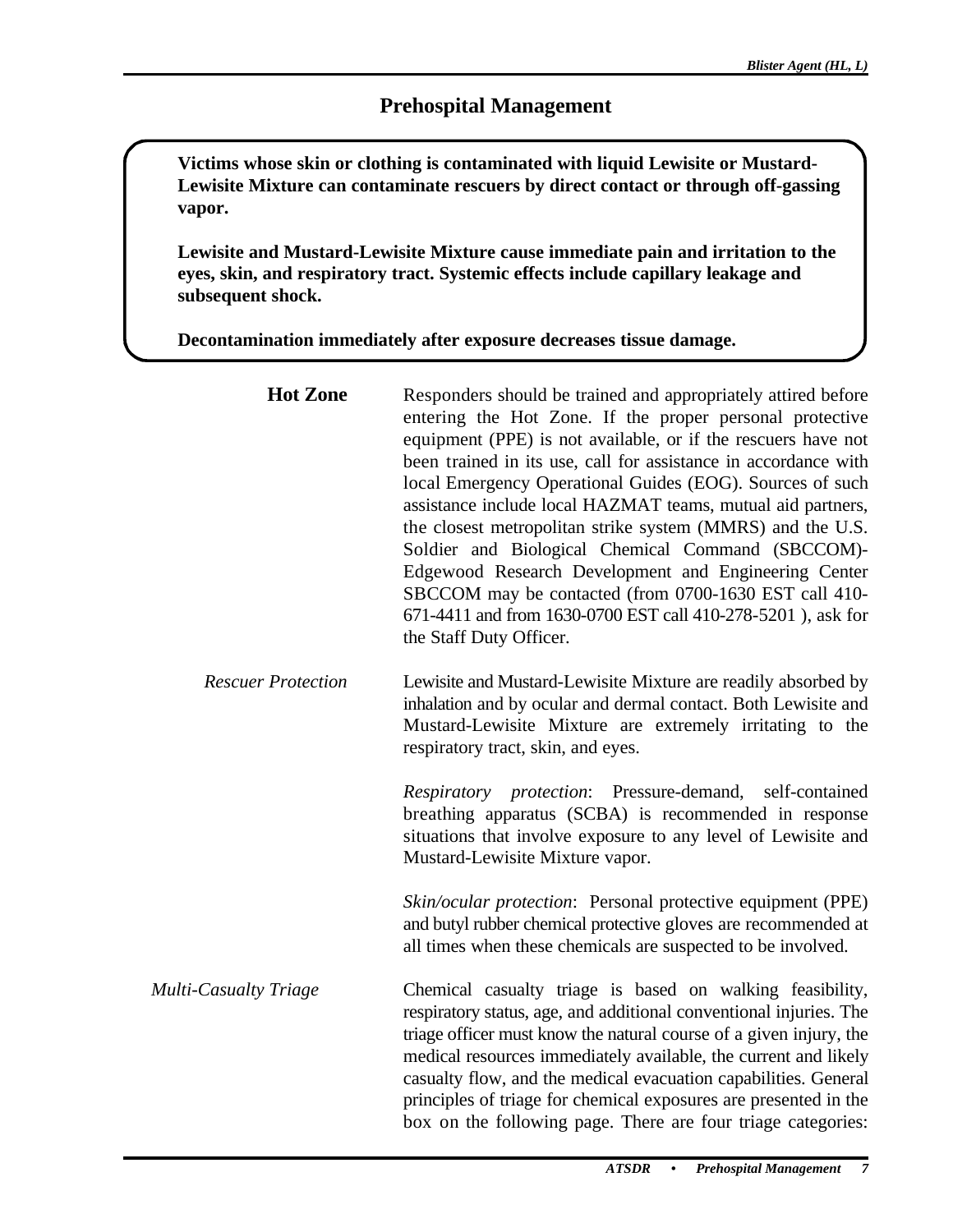# **Prehospital Management**

Victims whose skin or clothing is contaminated with liquid Lewisite or Mustard-**Lewisite Mixture can contaminate rescuers by direct contact or through off-gassing vapor.** 

Lewisite and Mustard-Lewisite Mixture cause immediate pain and irritation to the **eyes, skin, and respiratory tract. Systemic effects include capillary leakage and subsequent shock.** 

C **Decontamination immediately after exposure decreases tissue damage.** 

| <b>Hot Zone</b>              | Responders should be trained and appropriately attired before<br>entering the Hot Zone. If the proper personal protective<br>equipment (PPE) is not available, or if the rescuers have not<br>been trained in its use, call for assistance in accordance with<br>local Emergency Operational Guides (EOG). Sources of such<br>assistance include local HAZMAT teams, mutual aid partners,<br>the closest metropolitan strike system (MMRS) and the U.S.<br>Soldier and Biological Chemical Command (SBCCOM)-<br>Edgewood Research Development and Engineering Center<br>SBCCOM may be contacted (from 0700-1630 EST call 410-<br>671-4411 and from 1630-0700 EST call 410-278-5201, ask for<br>the Staff Duty Officer. |
|------------------------------|------------------------------------------------------------------------------------------------------------------------------------------------------------------------------------------------------------------------------------------------------------------------------------------------------------------------------------------------------------------------------------------------------------------------------------------------------------------------------------------------------------------------------------------------------------------------------------------------------------------------------------------------------------------------------------------------------------------------|
| <b>Rescuer Protection</b>    | Lewisite and Mustard-Lewisite Mixture are readily absorbed by<br>inhalation and by ocular and dermal contact. Both Lewisite and<br>Mustard-Lewisite Mixture are extremely irritating to the<br>respiratory tract, skin, and eyes.                                                                                                                                                                                                                                                                                                                                                                                                                                                                                      |
|                              | Respiratory protection: Pressure-demand, self-contained<br>breathing apparatus (SCBA) is recommended in response<br>situations that involve exposure to any level of Lewisite and<br>Mustard-Lewisite Mixture vapor.                                                                                                                                                                                                                                                                                                                                                                                                                                                                                                   |
|                              | Skin/ocular protection: Personal protective equipment (PPE)<br>and butyl rubber chemical protective gloves are recommended at<br>all times when these chemicals are suspected to be involved.                                                                                                                                                                                                                                                                                                                                                                                                                                                                                                                          |
| <b>Multi-Casualty Triage</b> | Chemical casualty triage is based on walking feasibility,<br>respiratory status, age, and additional conventional injuries. The<br>triage officer must know the natural course of a given injury, the<br>medical resources immediately available, the current and likely<br>casualty flow, and the medical evacuation capabilities. General<br>principles of triage for chemical exposures are presented in the<br>box on the following page. There are four triage categories:                                                                                                                                                                                                                                        |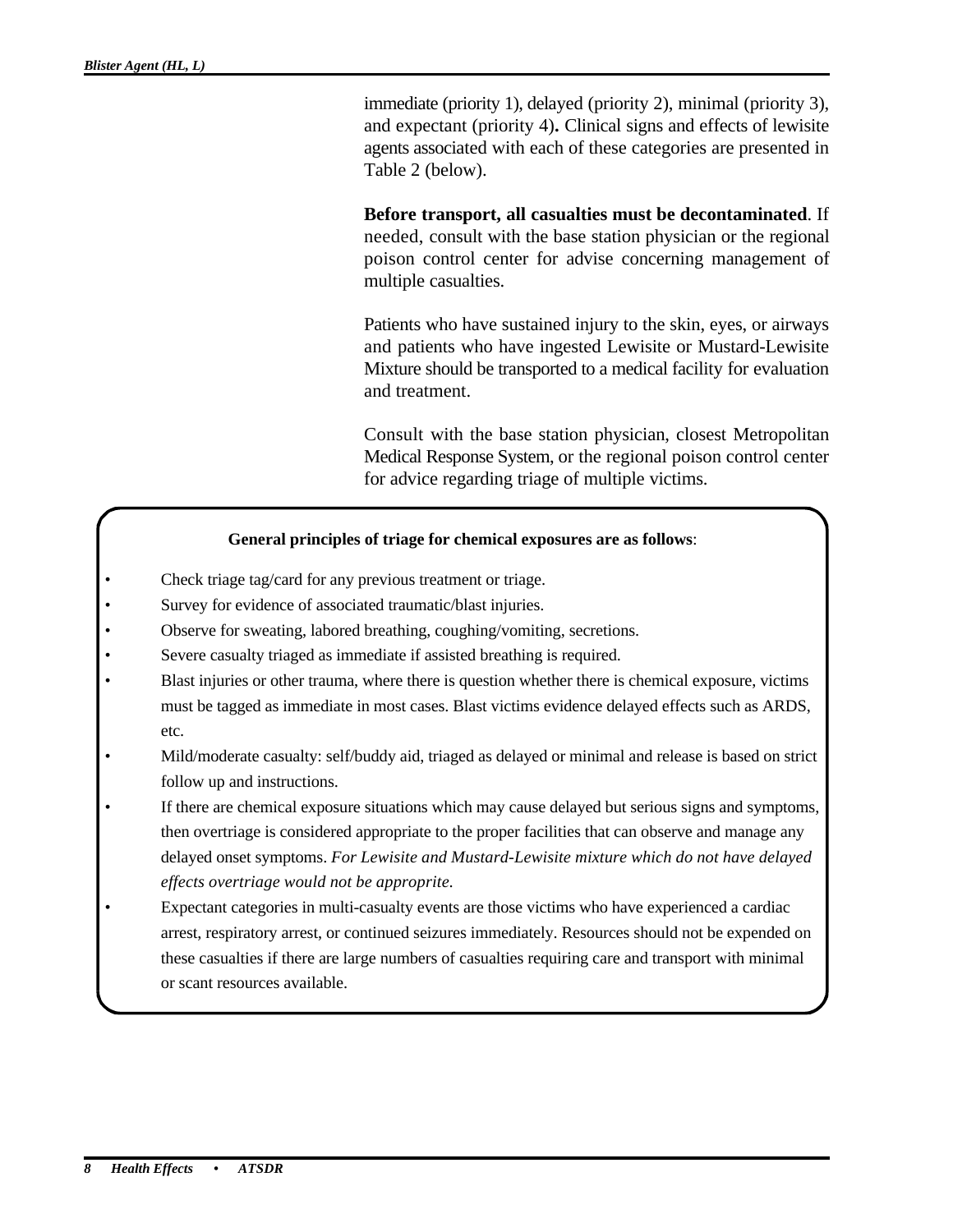immediate (priority 1), delayed (priority 2), minimal (priority 3), and expectant (priority 4)**.** Clinical signs and effects of lewisite agents associated with each of these categories are presented in Table 2 (below).

**Before transport, all casualties must be decontaminated**. If needed, consult with the base station physician or the regional poison control center for advise concerning management of multiple casualties.

Patients who have sustained injury to the skin, eyes, or airways and patients who have ingested Lewisite or Mustard-Lewisite Mixture should be transported to a medical facility for evaluation and treatment.

Consult with the base station physician, closest Metropolitan Medical Response System, or the regional poison control center for advice regarding triage of multiple victims.

#### **General principles of triage for chemical exposures are as follows**:

- Check triage tag/card for any previous treatment or triage.
- Survey for evidence of associated traumatic/blast injuries.
- Observe for sweating, labored breathing, coughing/vomiting, secretions.
- Severe casualty triaged as immediate if assisted breathing is required.
- Blast injuries or other trauma, where there is question whether there is chemical exposure, victims must be tagged as immediate in most cases. Blast victims evidence delayed effects such as ARDS, etc.
- Mild/moderate casualty: self/buddy aid, triaged as delayed or minimal and release is based on strict follow up and instructions.
- If there are chemical exposure situations which may cause delayed but serious signs and symptoms, then overtriage is considered appropriate to the proper facilities that can observe and manage any delayed onset symptoms. *For Lewisite and Mustard-Lewisite mixture which do not have delayed effects overtriage would not be approprite.*
- Expectant categories in multi-casualty events are those victims who have experienced a cardiac arrest, respiratory arrest, or continued seizures immediately. Resources should not be expended on these casualties if there are large numbers of casualties requiring care and transport with minimal or scant resources available.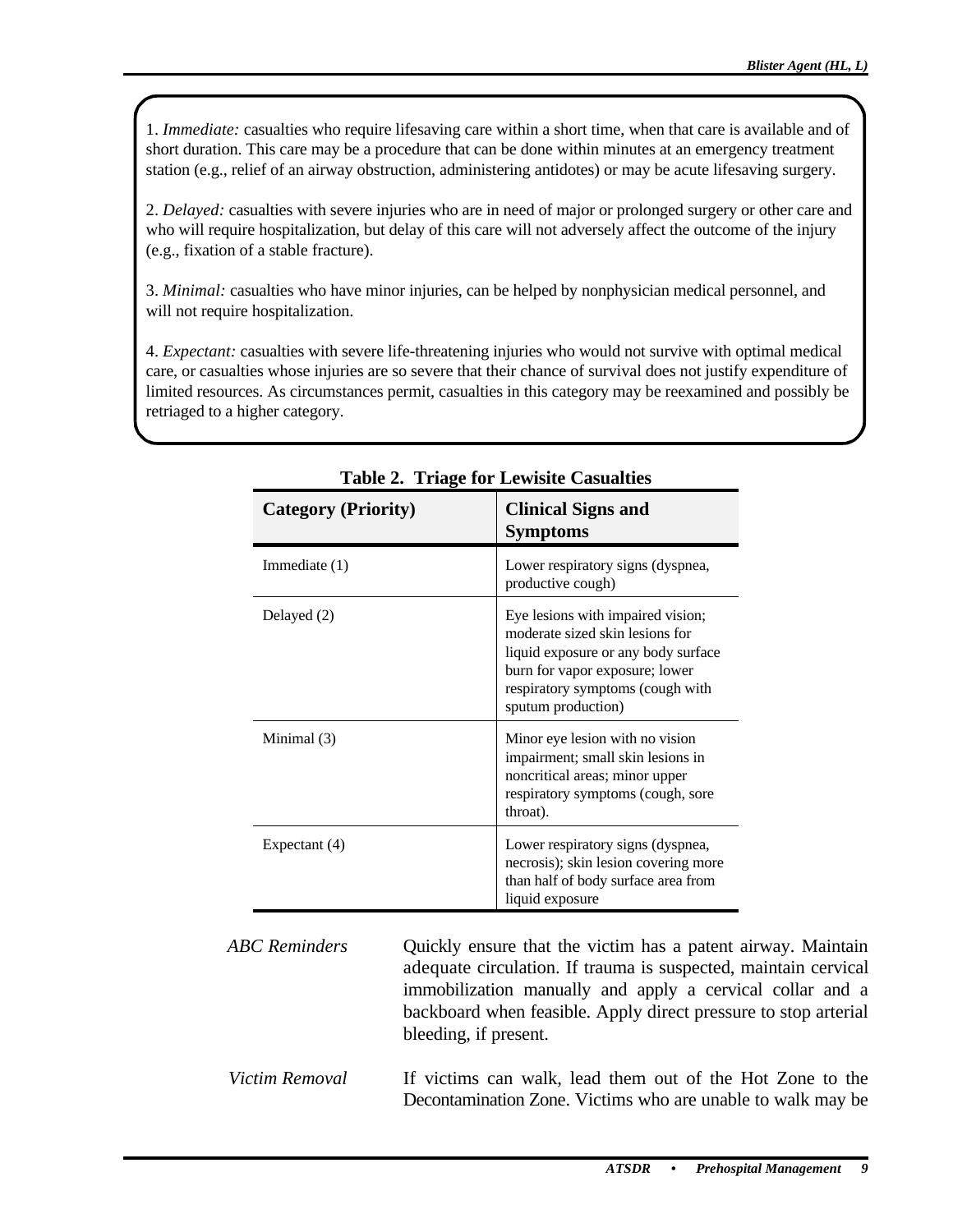1. *Immediate:* casualties who require lifesaving care within a short time, when that care is available and of short duration. This care may be a procedure that can be done within minutes at an emergency treatment station (e.g., relief of an airway obstruction, administering antidotes) or may be acute lifesaving surgery.

2. *Delayed:* casualties with severe injuries who are in need of major or prolonged surgery or other care and who will require hospitalization, but delay of this care will not adversely affect the outcome of the injury (e.g., fixation of a stable fracture).

3. *Minimal:* casualties who have minor injuries, can be helped by nonphysician medical personnel, and will not require hospitalization.

4. *Expectant:* casualties with severe life-threatening injuries who would not survive with optimal medical care, or casualties whose injuries are so severe that their chance of survival does not justify expenditure of limited resources. As circumstances permit, casualties in this category may be reexamined and possibly be retriaged to a higher category.

| <b>Category (Priority)</b> | <b>Clinical Signs and</b><br><b>Symptoms</b>                                                                                                                                                                                                                                             |  |
|----------------------------|------------------------------------------------------------------------------------------------------------------------------------------------------------------------------------------------------------------------------------------------------------------------------------------|--|
| Immediate (1)              | Lower respiratory signs (dyspnea,<br>productive cough)                                                                                                                                                                                                                                   |  |
| Delayed (2)                | Eye lesions with impaired vision;<br>moderate sized skin lesions for<br>liquid exposure or any body surface<br>burn for vapor exposure; lower<br>respiratory symptoms (cough with<br>sputum production)                                                                                  |  |
| Minimal $(3)$              | Minor eye lesion with no vision<br>impairment; small skin lesions in<br>noncritical areas; minor upper<br>respiratory symptoms (cough, sore<br>throat).                                                                                                                                  |  |
| Expectant $(4)$            | Lower respiratory signs (dyspnea,<br>necrosis); skin lesion covering more<br>than half of body surface area from<br>liquid exposure                                                                                                                                                      |  |
| <b>ABC</b> Reminders       | Quickly ensure that the victim has a patent airway. Maintain<br>adequate circulation. If trauma is suspected, maintain cervical<br>immobilization manually and apply a cervical collar and a<br>backboard when feasible. Apply direct pressure to stop arterial<br>bleeding, if present. |  |

## **Table 2. Triage for Lewisite Casualties**

*Victim Removal* If victims can walk, lead them out of the Hot Zone to the Decontamination Zone. Victims who are unable to walk may be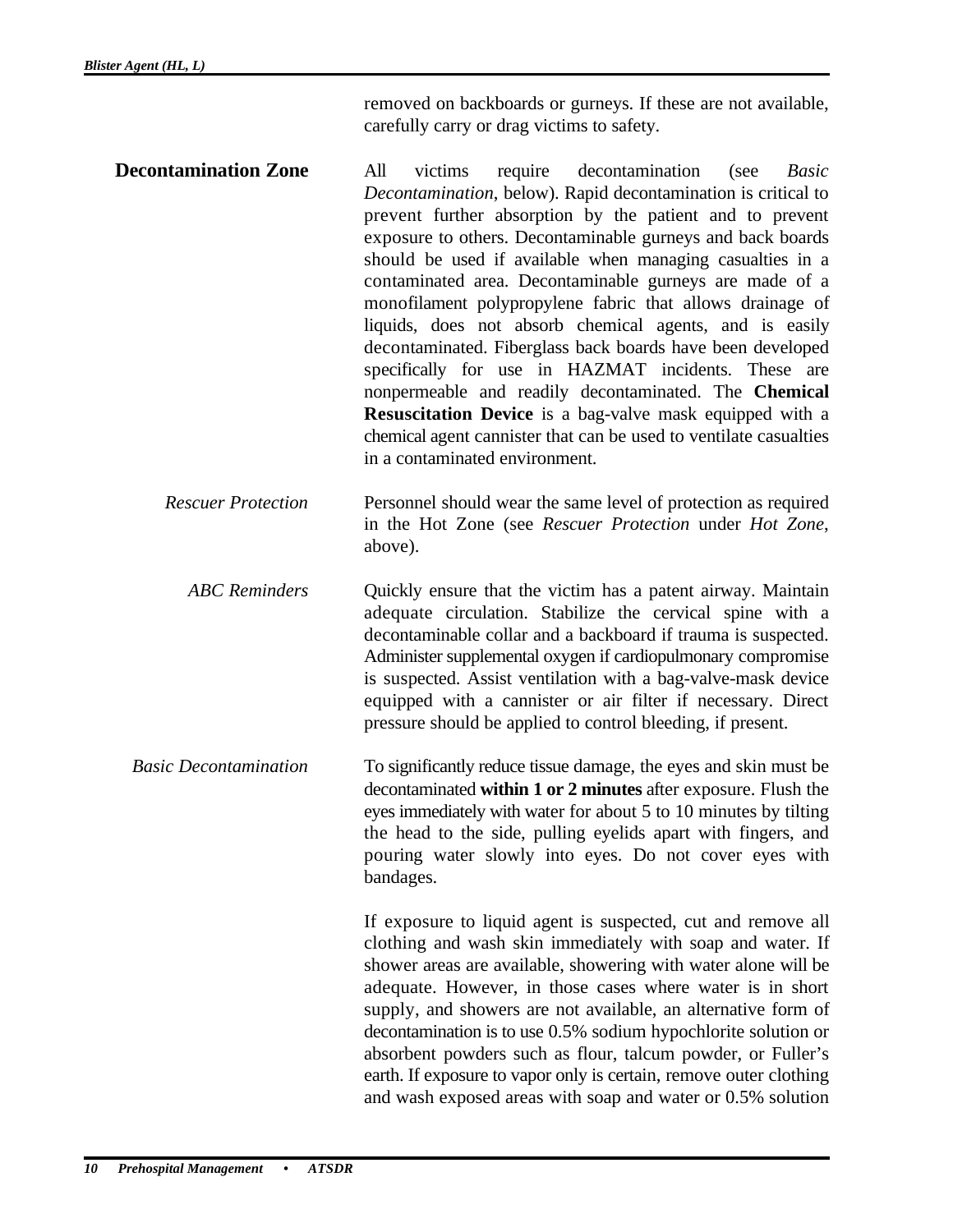removed on backboards or gurneys. If these are not available, carefully carry or drag victims to safety.

- **Decontamination Zone**  All victims require decontamination (see *Basic Decontamination*, below). Rapid decontamination is critical to prevent further absorption by the patient and to prevent exposure to others. Decontaminable gurneys and back boards should be used if available when managing casualties in a contaminated area. Decontaminable gurneys are made of a monofilament polypropylene fabric that allows drainage of liquids, does not absorb chemical agents, and is easily decontaminated. Fiberglass back boards have been developed specifically for use in HAZMAT incidents. These are nonpermeable and readily decontaminated. The **Chemical Resuscitation Device** is a bag-valve mask equipped with a chemical agent cannister that can be used to ventilate casualties in a contaminated environment.
	- *Rescuer Protection*  Personnel should wear the same level of protection as required in the Hot Zone (see *Rescuer Protection* under *Hot Zone*, above).
	- *ABC Reminders*  Quickly ensure that the victim has a patent airway. Maintain adequate circulation. Stabilize the cervical spine with a decontaminable collar and a backboard if trauma is suspected. Administer supplemental oxygen if cardiopulmonary compromise is suspected. Assist ventilation with a bag-valve-mask device equipped with a cannister or air filter if necessary. Direct pressure should be applied to control bleeding, if present.
	- *Basic Decontamination*  To significantly reduce tissue damage, the eyes and skin must be decontaminated **within 1 or 2 minutes** after exposure. Flush the eyes immediately with water for about 5 to 10 minutes by tilting the head to the side, pulling eyelids apart with fingers, and pouring water slowly into eyes. Do not cover eyes with bandages.

If exposure to liquid agent is suspected, cut and remove all clothing and wash skin immediately with soap and water. If shower areas are available, showering with water alone will be adequate. However, in those cases where water is in short supply, and showers are not available, an alternative form of decontamination is to use 0.5% sodium hypochlorite solution or absorbent powders such as flour, talcum powder, or Fuller's earth. If exposure to vapor only is certain, remove outer clothing and wash exposed areas with soap and water or 0.5% solution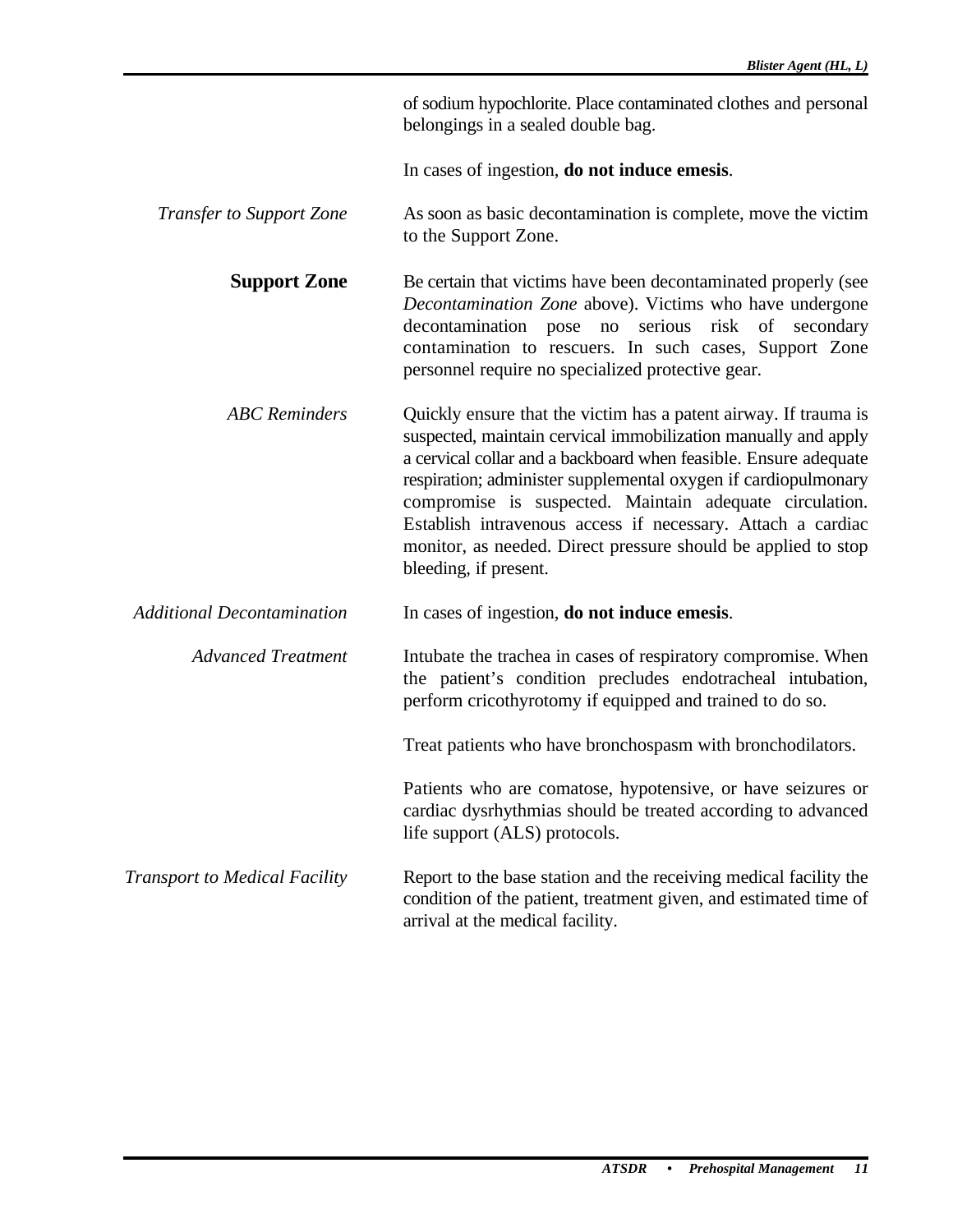|                                   | of sodium hypochlorite. Place contaminated clothes and personal<br>belongings in a sealed double bag.                                                                                                                                                                                                                                                                                                                                                                                        |
|-----------------------------------|----------------------------------------------------------------------------------------------------------------------------------------------------------------------------------------------------------------------------------------------------------------------------------------------------------------------------------------------------------------------------------------------------------------------------------------------------------------------------------------------|
|                                   | In cases of ingestion, do not induce emesis.                                                                                                                                                                                                                                                                                                                                                                                                                                                 |
| <b>Transfer to Support Zone</b>   | As soon as basic decontamination is complete, move the victim<br>to the Support Zone.                                                                                                                                                                                                                                                                                                                                                                                                        |
| <b>Support Zone</b>               | Be certain that victims have been decontaminated properly (see<br>Decontamination Zone above). Victims who have undergone<br>decontamination pose no serious risk of<br>secondary<br>contamination to rescuers. In such cases, Support Zone<br>personnel require no specialized protective gear.                                                                                                                                                                                             |
| <b>ABC</b> Reminders              | Quickly ensure that the victim has a patent airway. If trauma is<br>suspected, maintain cervical immobilization manually and apply<br>a cervical collar and a backboard when feasible. Ensure adequate<br>respiration; administer supplemental oxygen if cardiopulmonary<br>compromise is suspected. Maintain adequate circulation.<br>Establish intravenous access if necessary. Attach a cardiac<br>monitor, as needed. Direct pressure should be applied to stop<br>bleeding, if present. |
| <b>Additional Decontamination</b> | In cases of ingestion, do not induce emesis.                                                                                                                                                                                                                                                                                                                                                                                                                                                 |
| <b>Advanced Treatment</b>         | Intubate the trachea in cases of respiratory compromise. When<br>the patient's condition precludes endotracheal intubation,<br>perform cricothyrotomy if equipped and trained to do so.                                                                                                                                                                                                                                                                                                      |
|                                   | Treat patients who have bronchospasm with bronchodilators.                                                                                                                                                                                                                                                                                                                                                                                                                                   |
|                                   | Patients who are comatose, hypotensive, or have seizures or<br>cardiac dysrhythmias should be treated according to advanced<br>life support (ALS) protocols.                                                                                                                                                                                                                                                                                                                                 |
| Transport to Medical Facility     | Report to the base station and the receiving medical facility the<br>condition of the patient, treatment given, and estimated time of<br>arrival at the medical facility.                                                                                                                                                                                                                                                                                                                    |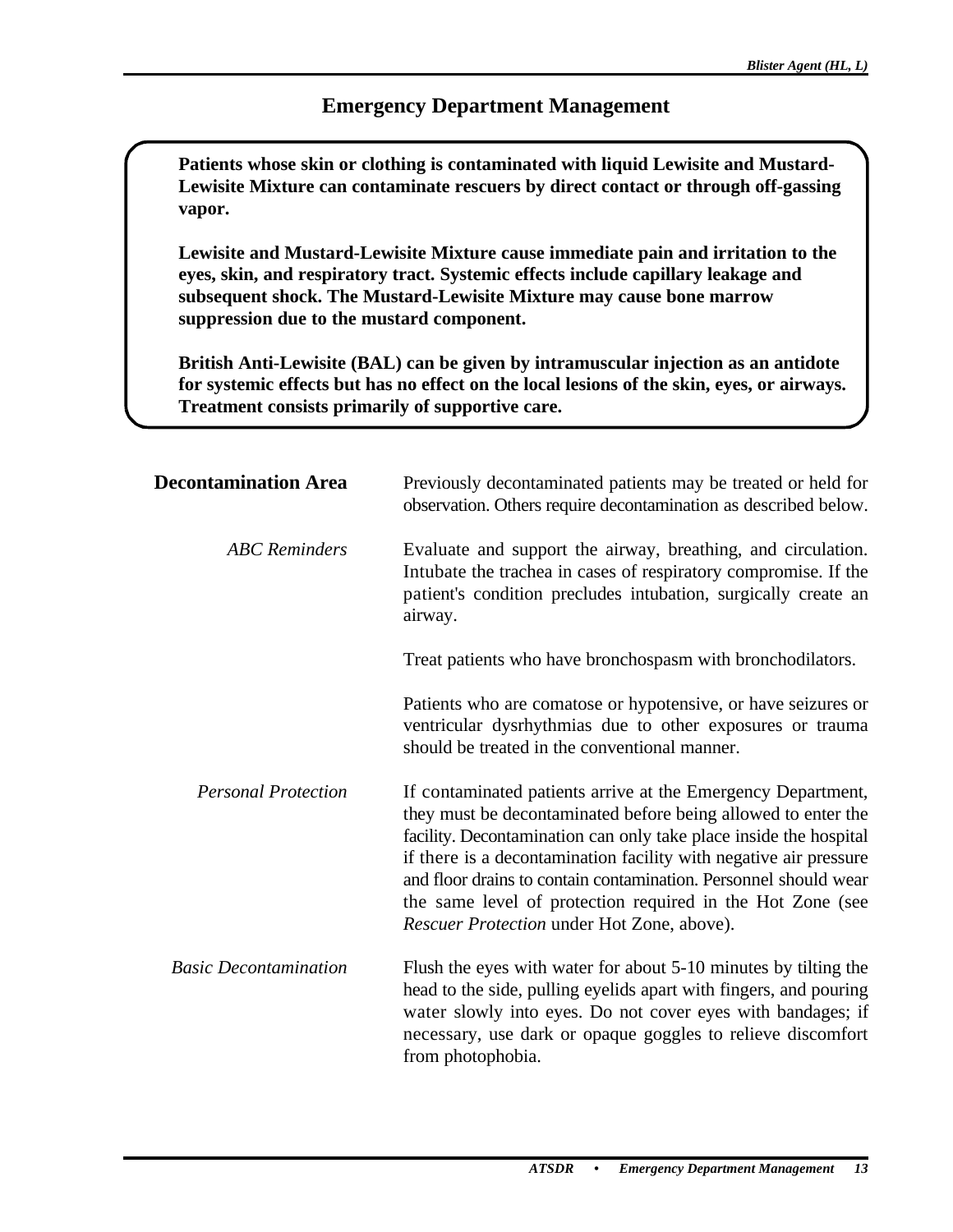## **Emergency Department Management**

Patients whose skin or clothing is contaminated with liquid Lewisite and Mustard-**Lewisite Mixture can contaminate rescuers by direct contact or through off-gassing vapor.** 

C **Lewisite and Mustard-Lewisite Mixture cause immediate pain and irritation to the eyes, skin, and respiratory tract. Systemic effects include capillary leakage and subsequent shock. The Mustard-Lewisite Mixture may cause bone marrow suppression due to the mustard component.** 

British Anti-Lewisite (BAL) can be given by intramuscular injection as an antidote **for systemic effects but has no effect on the local lesions of the skin, eyes, or airways. Treatment consists primarily of supportive care.** 

| <b>Decontamination Area</b>  | Previously decontaminated patients may be treated or held for<br>observation. Others require decontamination as described below.                                                                                                                                                                                                                                                                                                                        |
|------------------------------|---------------------------------------------------------------------------------------------------------------------------------------------------------------------------------------------------------------------------------------------------------------------------------------------------------------------------------------------------------------------------------------------------------------------------------------------------------|
| <b>ABC</b> Reminders         | Evaluate and support the airway, breathing, and circulation.<br>Intubate the trachea in cases of respiratory compromise. If the<br>patient's condition precludes intubation, surgically create an<br>airway.                                                                                                                                                                                                                                            |
|                              | Treat patients who have bronchospasm with bronchodilators.                                                                                                                                                                                                                                                                                                                                                                                              |
|                              | Patients who are comatose or hypotensive, or have seizures or<br>ventricular dysrhythmias due to other exposures or trauma<br>should be treated in the conventional manner.                                                                                                                                                                                                                                                                             |
| <b>Personal Protection</b>   | If contaminated patients arrive at the Emergency Department,<br>they must be decontaminated before being allowed to enter the<br>facility. Decontamination can only take place inside the hospital<br>if there is a decontamination facility with negative air pressure<br>and floor drains to contain contamination. Personnel should wear<br>the same level of protection required in the Hot Zone (see<br>Rescuer Protection under Hot Zone, above). |
| <b>Basic Decontamination</b> | Flush the eyes with water for about 5-10 minutes by tilting the<br>head to the side, pulling eyelids apart with fingers, and pouring<br>water slowly into eyes. Do not cover eyes with bandages; if<br>necessary, use dark or opaque goggles to relieve discomfort<br>from photophobia.                                                                                                                                                                 |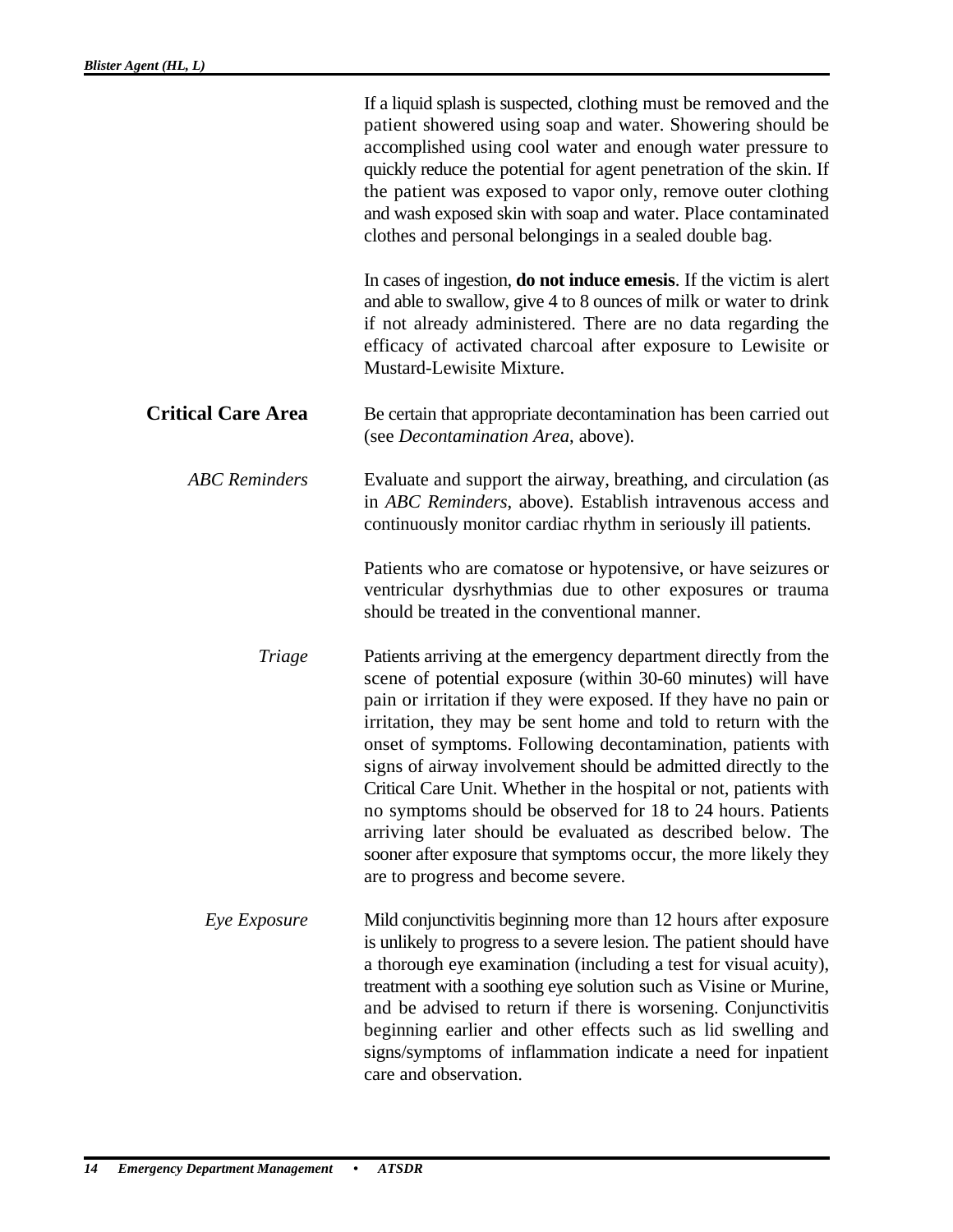|                           | If a liquid splash is suspected, clothing must be removed and the<br>patient showered using soap and water. Showering should be<br>accomplished using cool water and enough water pressure to<br>quickly reduce the potential for agent penetration of the skin. If<br>the patient was exposed to vapor only, remove outer clothing<br>and wash exposed skin with soap and water. Place contaminated<br>clothes and personal belongings in a sealed double bag.                                                                                                                                                                                                                                                  |
|---------------------------|------------------------------------------------------------------------------------------------------------------------------------------------------------------------------------------------------------------------------------------------------------------------------------------------------------------------------------------------------------------------------------------------------------------------------------------------------------------------------------------------------------------------------------------------------------------------------------------------------------------------------------------------------------------------------------------------------------------|
|                           | In cases of ingestion, <b>do not induce emesis</b> . If the victim is alert<br>and able to swallow, give 4 to 8 ounces of milk or water to drink<br>if not already administered. There are no data regarding the<br>efficacy of activated charcoal after exposure to Lewisite or<br>Mustard-Lewisite Mixture.                                                                                                                                                                                                                                                                                                                                                                                                    |
| <b>Critical Care Area</b> | Be certain that appropriate decontamination has been carried out<br>(see <i>Decontamination Area</i> , above).                                                                                                                                                                                                                                                                                                                                                                                                                                                                                                                                                                                                   |
| <b>ABC</b> Reminders      | Evaluate and support the airway, breathing, and circulation (as<br>in ABC Reminders, above). Establish intravenous access and<br>continuously monitor cardiac rhythm in seriously ill patients.                                                                                                                                                                                                                                                                                                                                                                                                                                                                                                                  |
|                           | Patients who are comatose or hypotensive, or have seizures or<br>ventricular dysrhythmias due to other exposures or trauma<br>should be treated in the conventional manner.                                                                                                                                                                                                                                                                                                                                                                                                                                                                                                                                      |
| <b>Triage</b>             | Patients arriving at the emergency department directly from the<br>scene of potential exposure (within 30-60 minutes) will have<br>pain or irritation if they were exposed. If they have no pain or<br>irritation, they may be sent home and told to return with the<br>onset of symptoms. Following decontamination, patients with<br>signs of airway involvement should be admitted directly to the<br>Critical Care Unit. Whether in the hospital or not, patients with<br>no symptoms should be observed for 18 to 24 hours. Patients<br>arriving later should be evaluated as described below. The<br>sooner after exposure that symptoms occur, the more likely they<br>are to progress and become severe. |
| Eye Exposure              | Mild conjunctivitis beginning more than 12 hours after exposure<br>is unlikely to progress to a severe lesion. The patient should have<br>a thorough eye examination (including a test for visual acuity),<br>treatment with a soothing eye solution such as Visine or Murine,<br>and be advised to return if there is worsening. Conjunctivitis<br>beginning earlier and other effects such as lid swelling and<br>signs/symptoms of inflammation indicate a need for inpatient<br>care and observation.                                                                                                                                                                                                        |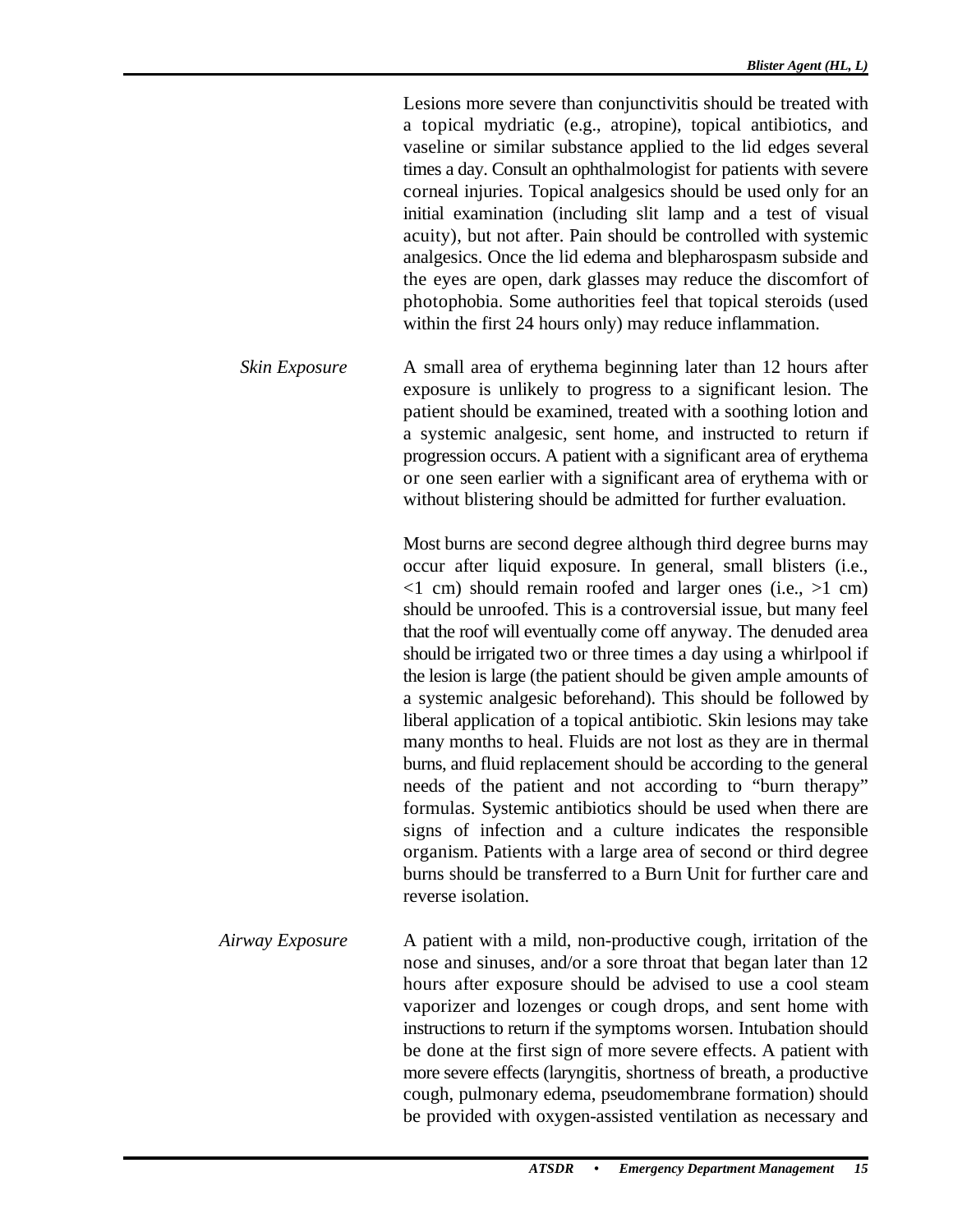Lesions more severe than conjunctivitis should be treated with a topical mydriatic (e.g., atropine), topical antibiotics, and vaseline or similar substance applied to the lid edges several times a day. Consult an ophthalmologist for patients with severe corneal injuries. Topical analgesics should be used only for an initial examination (including slit lamp and a test of visual acuity), but not after. Pain should be controlled with systemic analgesics. Once the lid edema and blepharospasm subside and the eyes are open, dark glasses may reduce the discomfort of photophobia. Some authorities feel that topical steroids (used within the first 24 hours only) may reduce inflammation.

*Skin Exposure* A small area of erythema beginning later than 12 hours after exposure is unlikely to progress to a significant lesion. The patient should be examined, treated with a soothing lotion and a systemic analgesic, sent home, and instructed to return if progression occurs. A patient with a significant area of erythema or one seen earlier with a significant area of erythema with or without blistering should be admitted for further evaluation.

> Most burns are second degree although third degree burns may occur after liquid exposure. In general, small blisters (i.e., <1 cm) should remain roofed and larger ones (i.e., >1 cm) should be unroofed. This is a controversial issue, but many feel that the roof will eventually come off anyway. The denuded area should be irrigated two or three times a day using a whirlpool if the lesion is large (the patient should be given ample amounts of a systemic analgesic beforehand). This should be followed by liberal application of a topical antibiotic. Skin lesions may take many months to heal. Fluids are not lost as they are in thermal burns, and fluid replacement should be according to the general needs of the patient and not according to "burn therapy" formulas. Systemic antibiotics should be used when there are signs of infection and a culture indicates the responsible organism. Patients with a large area of second or third degree burns should be transferred to a Burn Unit for further care and reverse isolation.

*Airway Exposure* A patient with a mild, non-productive cough, irritation of the nose and sinuses, and/or a sore throat that began later than 12 hours after exposure should be advised to use a cool steam vaporizer and lozenges or cough drops, and sent home with instructions to return if the symptoms worsen. Intubation should be done at the first sign of more severe effects. A patient with more severe effects (laryngitis, shortness of breath, a productive cough, pulmonary edema, pseudomembrane formation) should be provided with oxygen-assisted ventilation as necessary and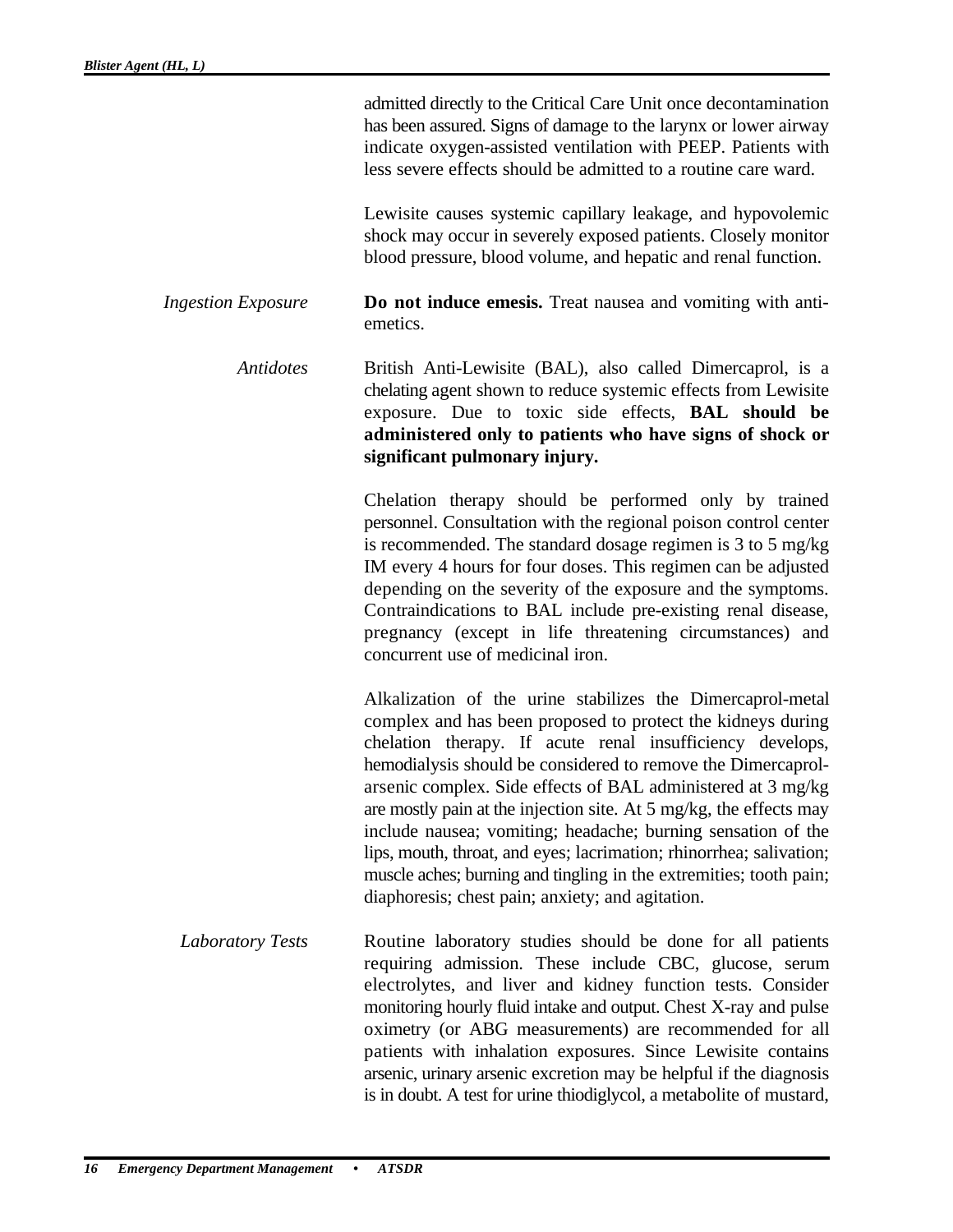admitted directly to the Critical Care Unit once decontamination has been assured. Signs of damage to the larynx or lower airway indicate oxygen-assisted ventilation with PEEP. Patients with less severe effects should be admitted to a routine care ward.

Lewisite causes systemic capillary leakage, and hypovolemic shock may occur in severely exposed patients. Closely monitor blood pressure, blood volume, and hepatic and renal function.

*Ingestion Exposure*  **Do not induce emesis.** Treat nausea and vomiting with antiemetics.

*Antidotes*  British Anti-Lewisite (BAL), also called Dimercaprol, is a chelating agent shown to reduce systemic effects from Lewisite exposure. Due to toxic side effects, **BAL should be administered only to patients who have signs of shock or significant pulmonary injury.** 

> Chelation therapy should be performed only by trained personnel. Consultation with the regional poison control center is recommended. The standard dosage regimen is 3 to 5 mg/kg IM every 4 hours for four doses. This regimen can be adjusted depending on the severity of the exposure and the symptoms. Contraindications to BAL include pre-existing renal disease, pregnancy (except in life threatening circumstances) and concurrent use of medicinal iron.

> Alkalization of the urine stabilizes the Dimercaprol-metal complex and has been proposed to protect the kidneys during chelation therapy. If acute renal insufficiency develops, hemodialysis should be considered to remove the Dimercaprolarsenic complex. Side effects of BAL administered at 3 mg/kg are mostly pain at the injection site. At 5 mg/kg, the effects may include nausea; vomiting; headache; burning sensation of the lips, mouth, throat, and eyes; lacrimation; rhinorrhea; salivation; muscle aches; burning and tingling in the extremities; tooth pain; diaphoresis; chest pain; anxiety; and agitation.

*Laboratory Tests*  Routine laboratory studies should be done for all patients requiring admission. These include CBC, glucose, serum electrolytes, and liver and kidney function tests. Consider monitoring hourly fluid intake and output. Chest X-ray and pulse oximetry (or ABG measurements) are recommended for all patients with inhalation exposures. Since Lewisite contains arsenic, urinary arsenic excretion may be helpful if the diagnosis is in doubt. A test for urine thiodiglycol, a metabolite of mustard,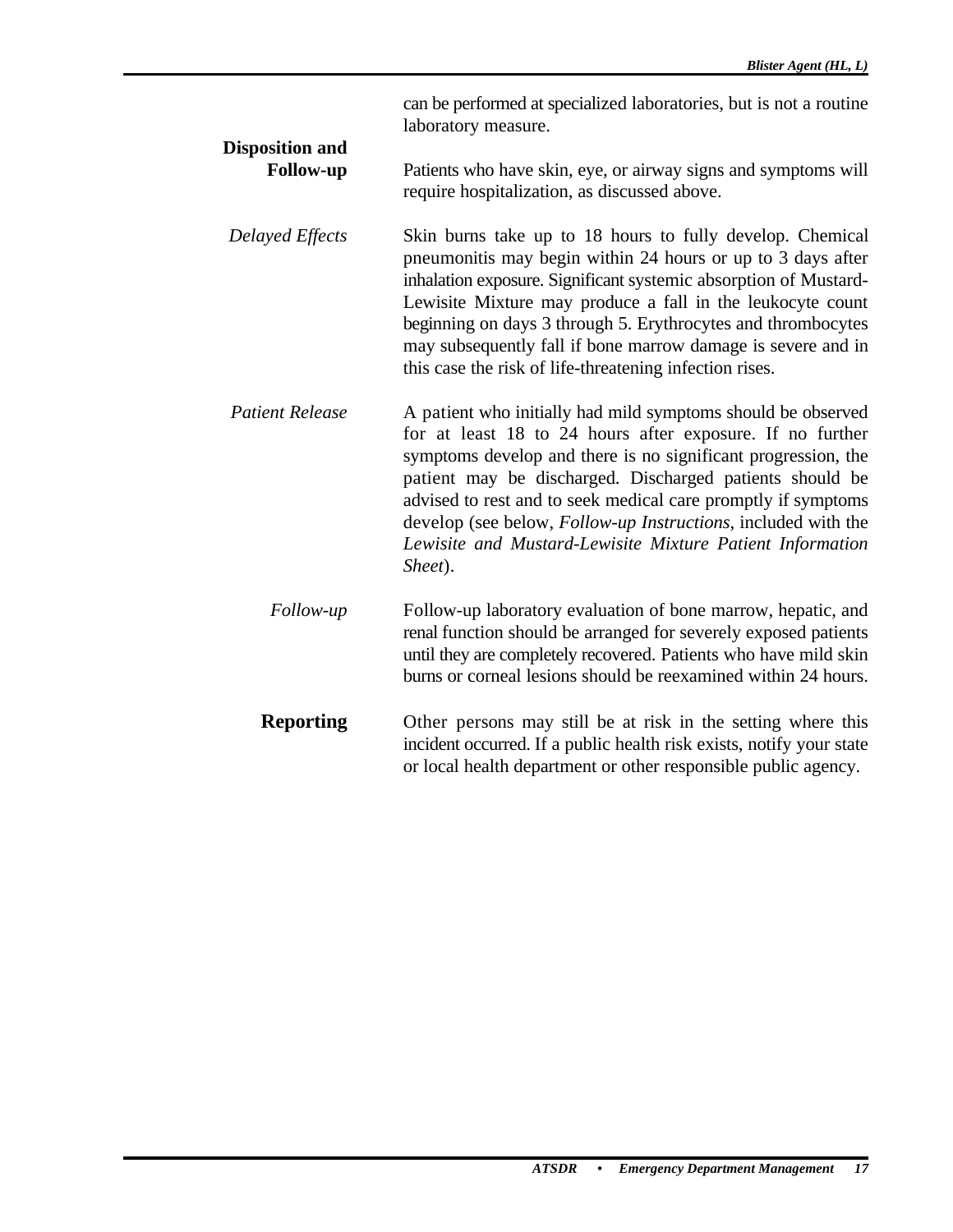can be performed at specialized laboratories, but is not a routine laboratory measure.

- **Disposition and Follow-up**  Patients who have skin, eye, or airway signs and symptoms will require hospitalization, as discussed above.
- *Delayed Effects* Skin burns take up to 18 hours to fully develop. Chemical pneumonitis may begin within 24 hours or up to 3 days after inhalation exposure. Significant systemic absorption of Mustard-Lewisite Mixture may produce a fall in the leukocyte count beginning on days 3 through 5. Erythrocytes and thrombocytes may subsequently fall if bone marrow damage is severe and in this case the risk of life-threatening infection rises.
- *Patient Release* A patient who initially had mild symptoms should be observed for at least 18 to 24 hours after exposure. If no further symptoms develop and there is no significant progression, the patient may be discharged. Discharged patients should be advised to rest and to seek medical care promptly if symptoms develop (see below, *Follow-up Instructions*, included with the *Lewisite and Mustard-Lewisite Mixture Patient Information Sheet*).
	- *Follow-up* Follow-up laboratory evaluation of bone marrow, hepatic, and renal function should be arranged for severely exposed patients until they are completely recovered. Patients who have mild skin burns or corneal lesions should be reexamined within 24 hours.
	- **Reporting** Other persons may still be at risk in the setting where this incident occurred. If a public health risk exists, notify your state or local health department or other responsible public agency.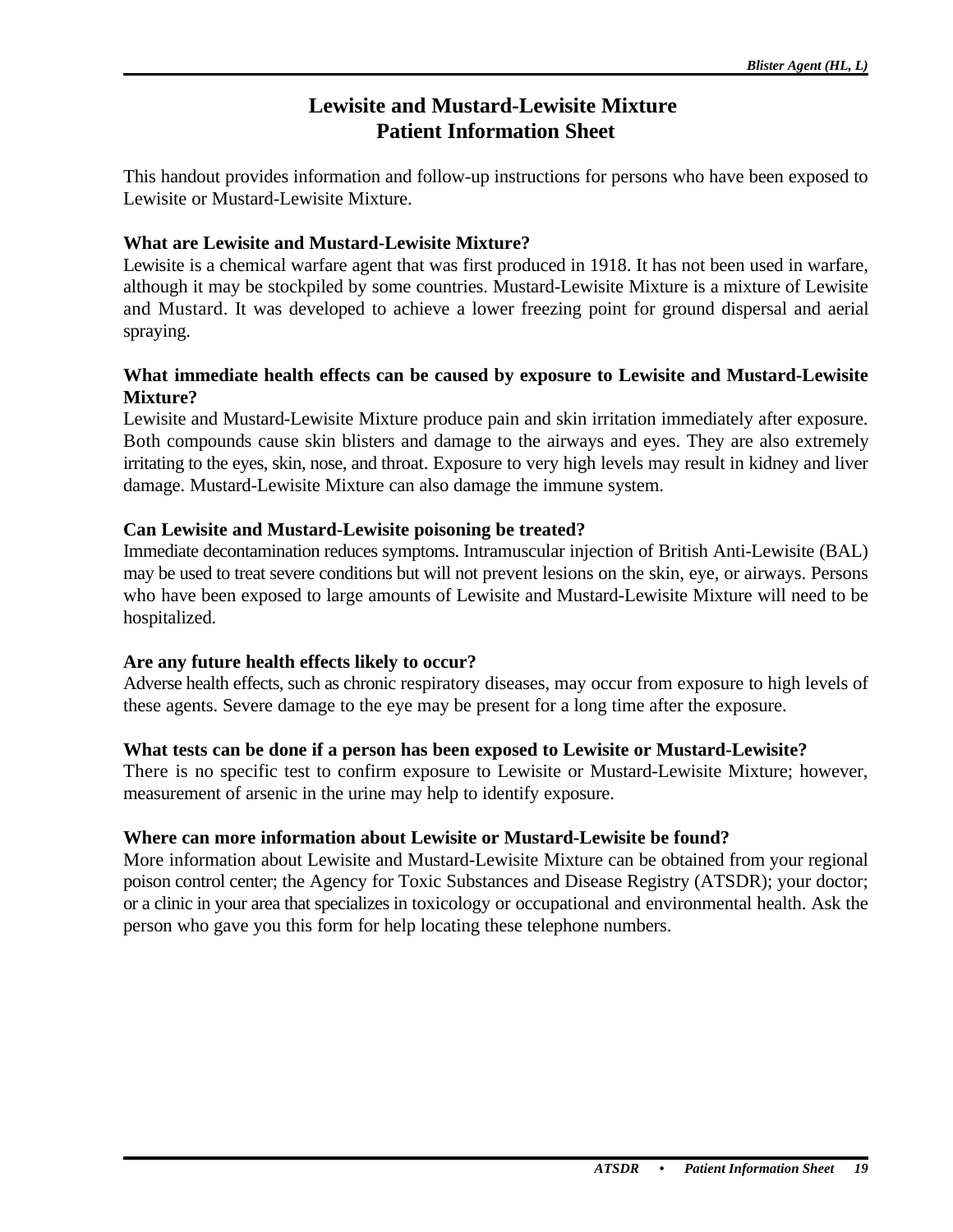# **Lewisite and Mustard-Lewisite Mixture Patient Information Sheet**

This handout provides information and follow-up instructions for persons who have been exposed to Lewisite or Mustard-Lewisite Mixture.

## **What are Lewisite and Mustard-Lewisite Mixture?**

Lewisite is a chemical warfare agent that was first produced in 1918. It has not been used in warfare, although it may be stockpiled by some countries. Mustard-Lewisite Mixture is a mixture of Lewisite and Mustard. It was developed to achieve a lower freezing point for ground dispersal and aerial spraying.

## **What immediate health effects can be caused by exposure to Lewisite and Mustard-Lewisite Mixture?**

Lewisite and Mustard-Lewisite Mixture produce pain and skin irritation immediately after exposure. Both compounds cause skin blisters and damage to the airways and eyes. They are also extremely irritating to the eyes, skin, nose, and throat. Exposure to very high levels may result in kidney and liver damage. Mustard-Lewisite Mixture can also damage the immune system.

## **Can Lewisite and Mustard-Lewisite poisoning be treated?**

Immediate decontamination reduces symptoms. Intramuscular injection of British Anti-Lewisite (BAL) may be used to treat severe conditions but will not prevent lesions on the skin, eye, or airways. Persons who have been exposed to large amounts of Lewisite and Mustard-Lewisite Mixture will need to be hospitalized.

## **Are any future health effects likely to occur?**

Adverse health effects, such as chronic respiratory diseases, may occur from exposure to high levels of these agents. Severe damage to the eye may be present for a long time after the exposure.

## **What tests can be done if a person has been exposed to Lewisite or Mustard-Lewisite?**

There is no specific test to confirm exposure to Lewisite or Mustard-Lewisite Mixture; however, measurement of arsenic in the urine may help to identify exposure.

## **Where can more information about Lewisite or Mustard-Lewisite be found?**

More information about Lewisite and Mustard-Lewisite Mixture can be obtained from your regional poison control center; the Agency for Toxic Substances and Disease Registry (ATSDR); your doctor; or a clinic in your area that specializes in toxicology or occupational and environmental health. Ask the person who gave you this form for help locating these telephone numbers.